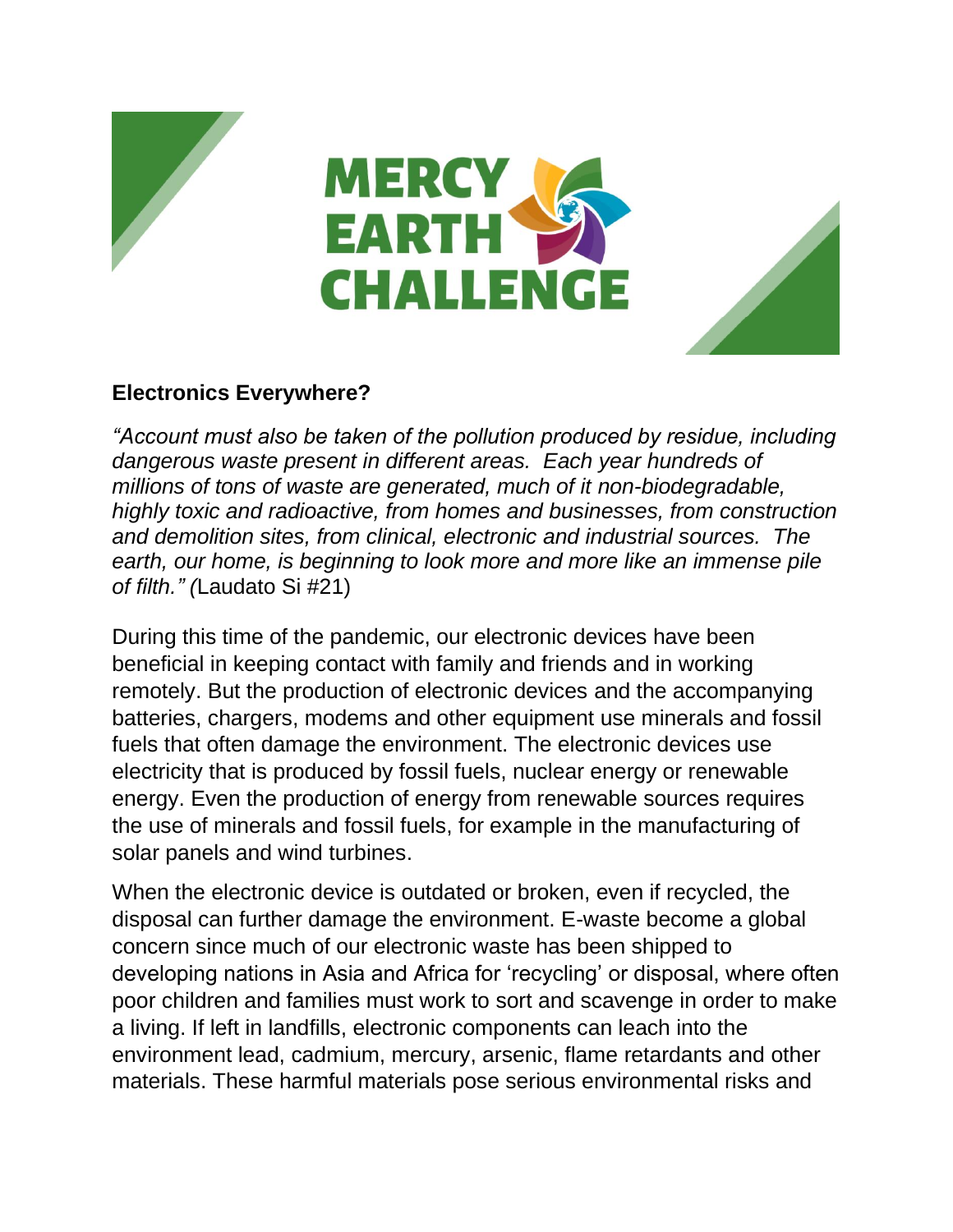





## **Electronics Everywhere?**

*"Account must also be taken of the pollution produced by residue, including dangerous waste present in different areas. Each year hundreds of millions of tons of waste are generated, much of it non-biodegradable, highly toxic and radioactive, from homes and businesses, from construction and demolition sites, from clinical, electronic and industrial sources. The earth, our home, is beginning to look more and more like an immense pile of filth." (*Laudato Si #21)

During this time of the pandemic, our electronic devices have been beneficial in keeping contact with family and friends and in working remotely. But the production of electronic devices and the accompanying batteries, chargers, modems and other equipment use minerals and fossil fuels that often damage the environment. The electronic devices use electricity that is produced by fossil fuels, nuclear energy or renewable energy. Even the production of energy from renewable sources requires the use of minerals and fossil fuels, for example in the manufacturing of solar panels and wind turbines.

When the electronic device is outdated or broken, even if recycled, the disposal can further damage the environment. E-waste become a global concern since much of our electronic waste has been shipped to developing nations in Asia and Africa for 'recycling' or disposal, where often poor children and families must work to sort and scavenge in order to make a living. If left in landfills, electronic components can leach into the environment lead, cadmium, mercury, arsenic, flame retardants and other materials. These harmful materials pose serious environmental risks and